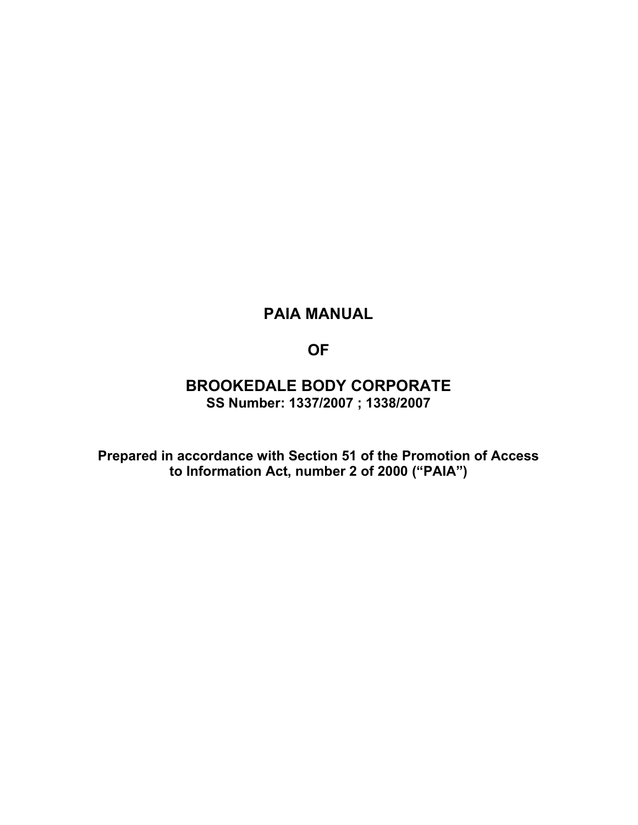# **PAIA MANUAL**

**OF** 

## **BROOKEDALE BODY CORPORATE SS Number: 1337/2007 ; 1338/2007**

**Prepared in accordance with Section 51 of the Promotion of Access to Information Act, number 2 of 2000 ("PAIA")**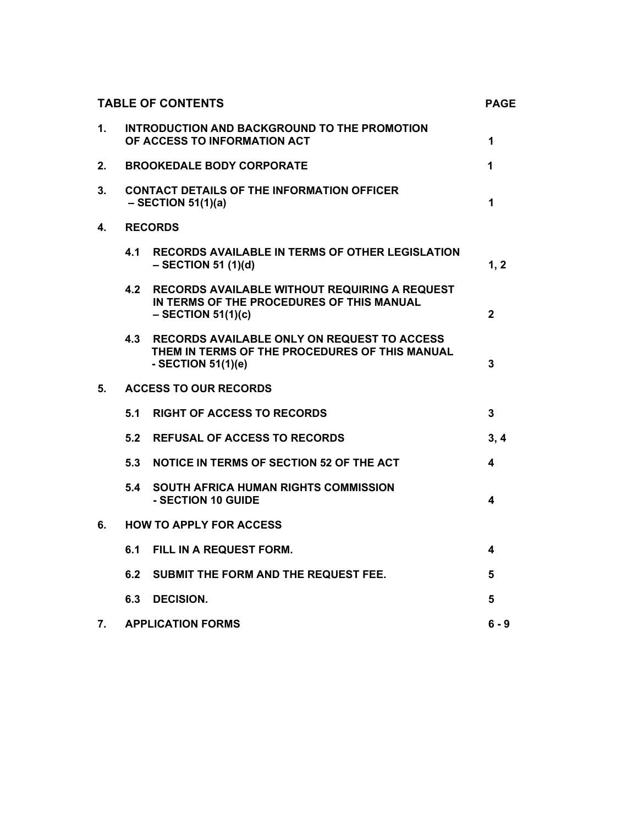|    | <b>TABLE OF CONTENTS</b>                                                  |                                                                                                                              |              |
|----|---------------------------------------------------------------------------|------------------------------------------------------------------------------------------------------------------------------|--------------|
| 1. |                                                                           | INTRODUCTION AND BACKGROUND TO THE PROMOTION<br>OF ACCESS TO INFORMATION ACT                                                 | 1            |
| 2. |                                                                           | <b>BROOKEDALE BODY CORPORATE</b>                                                                                             | 1            |
| 3. | <b>CONTACT DETAILS OF THE INFORMATION OFFICER</b><br>$-$ SECTION 51(1)(a) |                                                                                                                              | 1            |
| 4. | <b>RECORDS</b>                                                            |                                                                                                                              |              |
|    | 4.1                                                                       | <b>RECORDS AVAILABLE IN TERMS OF OTHER LEGISLATION</b><br>$-$ SECTION 51 (1)(d)                                              | 1, 2         |
|    | 4.2                                                                       | RECORDS AVAILABLE WITHOUT REQUIRING A REQUEST<br>IN TERMS OF THE PROCEDURES OF THIS MANUAL<br>$-$ SECTION 51(1)(c)           | $\mathbf{2}$ |
|    | 4.3                                                                       | <b>RECORDS AVAILABLE ONLY ON REQUEST TO ACCESS</b><br>THEM IN TERMS OF THE PROCEDURES OF THIS MANUAL<br>- SECTION $51(1)(e)$ | 3            |
| 5. |                                                                           | <b>ACCESS TO OUR RECORDS</b>                                                                                                 |              |
|    | 5.1                                                                       | <b>RIGHT OF ACCESS TO RECORDS</b>                                                                                            | 3            |
|    | 5.2                                                                       | <b>REFUSAL OF ACCESS TO RECORDS</b>                                                                                          | 3, 4         |
|    | 5.3                                                                       | NOTICE IN TERMS OF SECTION 52 OF THE ACT                                                                                     | 4            |
|    | 5.4                                                                       | <b>SOUTH AFRICA HUMAN RIGHTS COMMISSION</b><br>- SECTION 10 GUIDE                                                            | 4            |
| 6. | <b>HOW TO APPLY FOR ACCESS</b>                                            |                                                                                                                              |              |
|    | 6.1                                                                       | FILL IN A REQUEST FORM.                                                                                                      | 4            |
|    | 6.2                                                                       | SUBMIT THE FORM AND THE REQUEST FEE.                                                                                         | 5            |
|    | 6.3                                                                       | <b>DECISION.</b>                                                                                                             | 5            |
| 7. |                                                                           | <b>APPLICATION FORMS</b>                                                                                                     | $6 - 9$      |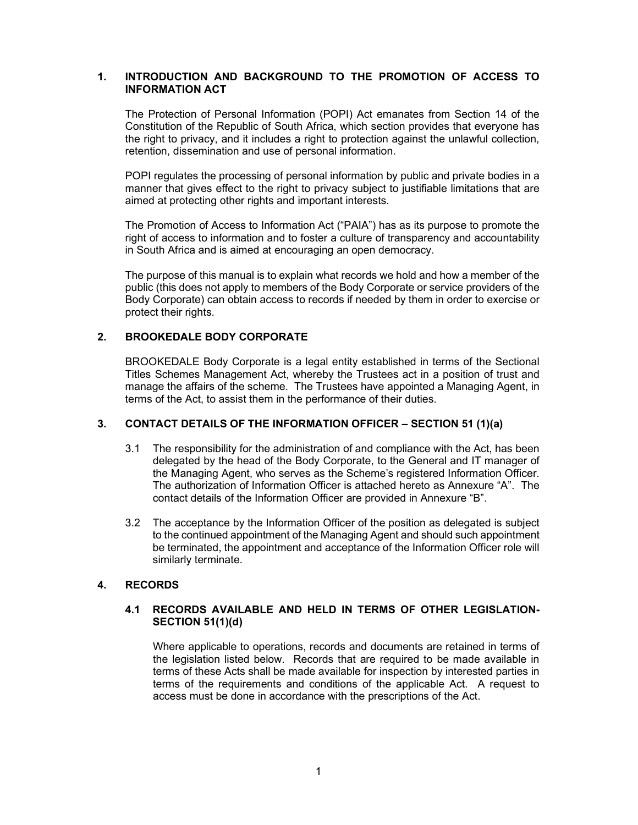## **1. INTRODUCTION AND BACKGROUND TO THE PROMOTION OF ACCESS TO INFORMATION ACT**

The Protection of Personal Information (POPI) Act emanates from Section 14 of the Constitution of the Republic of South Africa, which section provides that everyone has the right to privacy, and it includes a right to protection against the unlawful collection, retention, dissemination and use of personal information.

POPI regulates the processing of personal information by public and private bodies in a manner that gives effect to the right to privacy subject to justifiable limitations that are aimed at protecting other rights and important interests.

The Promotion of Access to Information Act ("PAIA") has as its purpose to promote the right of access to information and to foster a culture of transparency and accountability in South Africa and is aimed at encouraging an open democracy.

The purpose of this manual is to explain what records we hold and how a member of the public (this does not apply to members of the Body Corporate or service providers of the Body Corporate) can obtain access to records if needed by them in order to exercise or protect their rights.

#### **2. BROOKEDALE BODY CORPORATE**

BROOKEDALE Body Corporate is a legal entity established in terms of the Sectional Titles Schemes Management Act, whereby the Trustees act in a position of trust and manage the affairs of the scheme. The Trustees have appointed a Managing Agent, in terms of the Act, to assist them in the performance of their duties.

### **3. CONTACT DETAILS OF THE INFORMATION OFFICER – SECTION 51 (1)(a)**

- 3.1 The responsibility for the administration of and compliance with the Act, has been delegated by the head of the Body Corporate, to the General and IT manager of the Managing Agent, who serves as the Scheme's registered Information Officer. The authorization of Information Officer is attached hereto as Annexure "A". The contact details of the Information Officer are provided in Annexure "B".
- 3.2 The acceptance by the Information Officer of the position as delegated is subject to the continued appointment of the Managing Agent and should such appointment be terminated, the appointment and acceptance of the Information Officer role will similarly terminate.

## **4. RECORDS**

#### **4.1 RECORDS AVAILABLE AND HELD IN TERMS OF OTHER LEGISLATION-SECTION 51(1)(d)**

Where applicable to operations, records and documents are retained in terms of the legislation listed below. Records that are required to be made available in terms of these Acts shall be made available for inspection by interested parties in terms of the requirements and conditions of the applicable Act. A request to access must be done in accordance with the prescriptions of the Act.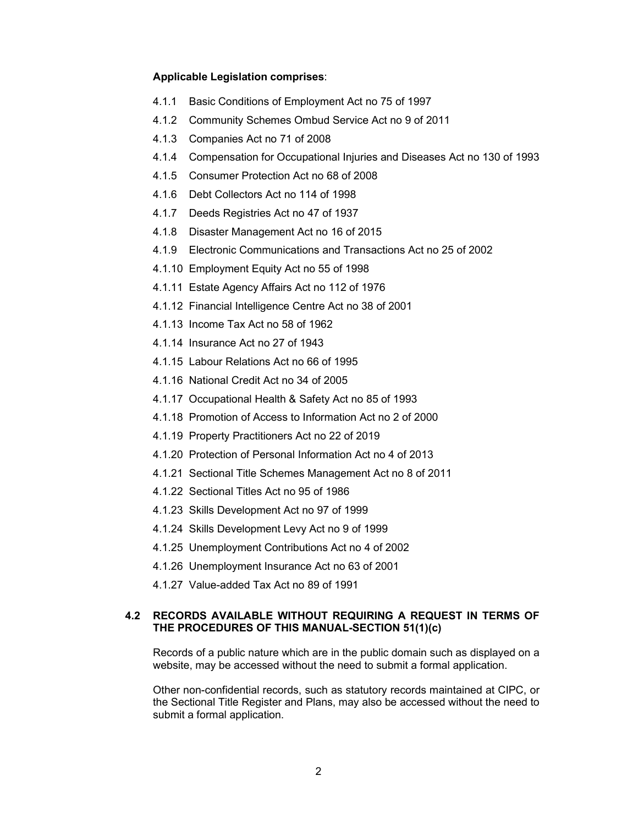#### **Applicable Legislation comprises**:

- 4.1.1 Basic Conditions of Employment Act no 75 of 1997
- 4.1.2 Community Schemes Ombud Service Act no 9 of 2011
- 4.1.3 Companies Act no 71 of 2008
- 4.1.4 Compensation for Occupational Injuries and Diseases Act no 130 of 1993
- 4.1.5 Consumer Protection Act no 68 of 2008
- 4.1.6 Debt Collectors Act no 114 of 1998
- 4.1.7 Deeds Registries Act no 47 of 1937
- 4.1.8 Disaster Management Act no 16 of 2015
- 4.1.9 Electronic Communications and Transactions Act no 25 of 2002
- 4.1.10 Employment Equity Act no 55 of 1998
- 4.1.11 Estate Agency Affairs Act no 112 of 1976
- 4.1.12 Financial Intelligence Centre Act no 38 of 2001
- 4.1.13 Income Tax Act no 58 of 1962
- 4.1.14 Insurance Act no 27 of 1943
- 4.1.15 Labour Relations Act no 66 of 1995
- 4.1.16 National Credit Act no 34 of 2005
- 4.1.17 Occupational Health & Safety Act no 85 of 1993
- 4.1.18 Promotion of Access to Information Act no 2 of 2000
- 4.1.19 Property Practitioners Act no 22 of 2019
- 4.1.20 Protection of Personal Information Act no 4 of 2013
- 4.1.21 Sectional Title Schemes Management Act no 8 of 2011
- 4.1.22 Sectional Titles Act no 95 of 1986
- 4.1.23 Skills Development Act no 97 of 1999
- 4.1.24 Skills Development Levy Act no 9 of 1999
- 4.1.25 Unemployment Contributions Act no 4 of 2002
- 4.1.26 Unemployment Insurance Act no 63 of 2001
- 4.1.27 Value-added Tax Act no 89 of 1991

#### **4.2 RECORDS AVAILABLE WITHOUT REQUIRING A REQUEST IN TERMS OF THE PROCEDURES OF THIS MANUAL-SECTION 51(1)(c)**

Records of a public nature which are in the public domain such as displayed on a website, may be accessed without the need to submit a formal application.

Other non-confidential records, such as statutory records maintained at CIPC, or the Sectional Title Register and Plans, may also be accessed without the need to submit a formal application.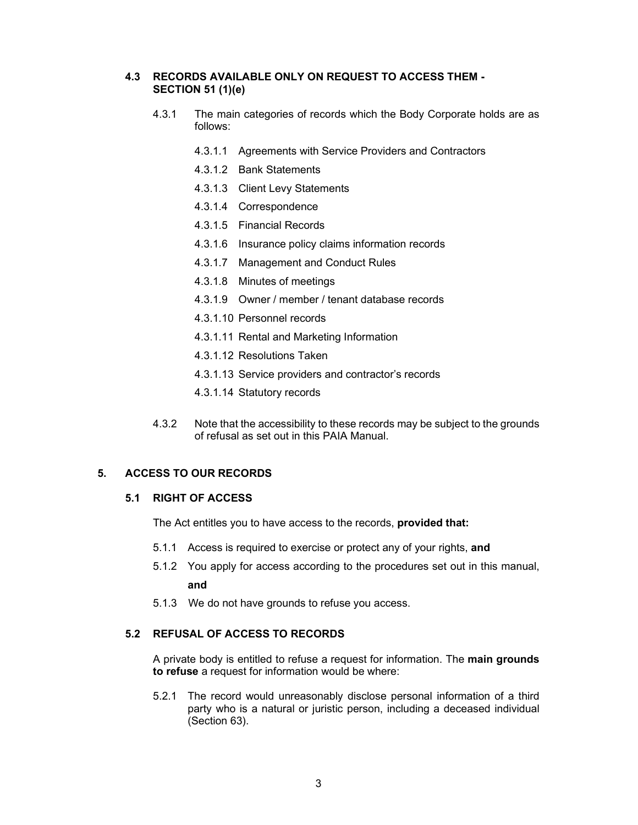## **4.3 RECORDS AVAILABLE ONLY ON REQUEST TO ACCESS THEM - SECTION 51 (1)(e)**

- 4.3.1 The main categories of records which the Body Corporate holds are as follows:
	- 4.3.1.1 Agreements with Service Providers and Contractors
	- 4.3.1.2 Bank Statements
	- 4.3.1.3 Client Levy Statements
	- 4.3.1.4 Correspondence
	- 4.3.1.5 Financial Records
	- 4.3.1.6 Insurance policy claims information records
	- 4.3.1.7 Management and Conduct Rules
	- 4.3.1.8 Minutes of meetings
	- 4.3.1.9 Owner / member / tenant database records
	- 4.3.1.10 Personnel records
	- 4.3.1.11 Rental and Marketing Information
	- 4.3.1.12 Resolutions Taken
	- 4.3.1.13 Service providers and contractor's records
	- 4.3.1.14 Statutory records
- 4.3.2 Note that the accessibility to these records may be subject to the grounds of refusal as set out in this PAIA Manual.

#### **5. ACCESS TO OUR RECORDS**

#### **5.1 RIGHT OF ACCESS**

The Act entitles you to have access to the records, **provided that:** 

- 5.1.1 Access is required to exercise or protect any of your rights, **and**
- 5.1.2 You apply for access according to the procedures set out in this manual, **and**
- 5.1.3 We do not have grounds to refuse you access.

## **5.2 REFUSAL OF ACCESS TO RECORDS**

A private body is entitled to refuse a request for information. The **main grounds to refuse** a request for information would be where:

5.2.1 The record would unreasonably disclose personal information of a third party who is a natural or juristic person, including a deceased individual (Section 63).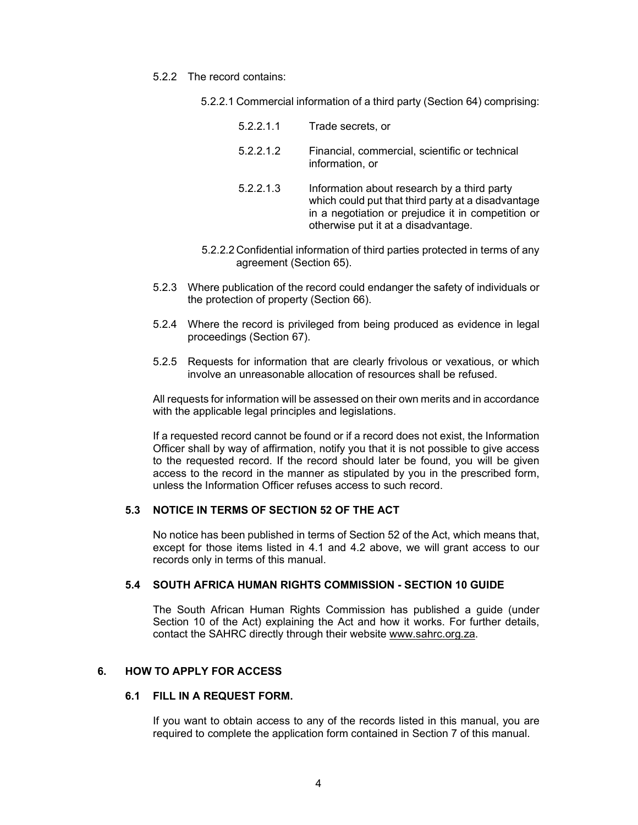- 5.2.2 The record contains:
	- 5.2.2.1 Commercial information of a third party (Section 64) comprising:

| 5.2.2.1.1 | Trade secrets, or                                                                                                                                                                              |
|-----------|------------------------------------------------------------------------------------------------------------------------------------------------------------------------------------------------|
| 5.2.2.1.2 | Financial, commercial, scientific or technical<br>information, or                                                                                                                              |
| 5.2.2.1.3 | Information about research by a third party<br>which could put that third party at a disadvantage<br>in a negotiation or prejudice it in competition or<br>otherwise put it at a disadvantage. |

- 5.2.2.2 Confidential information of third parties protected in terms of any agreement (Section 65).
- 5.2.3 Where publication of the record could endanger the safety of individuals or the protection of property (Section 66).
- 5.2.4 Where the record is privileged from being produced as evidence in legal proceedings (Section 67).
- 5.2.5 Requests for information that are clearly frivolous or vexatious, or which involve an unreasonable allocation of resources shall be refused.

All requests for information will be assessed on their own merits and in accordance with the applicable legal principles and legislations.

If a requested record cannot be found or if a record does not exist, the Information Officer shall by way of affirmation, notify you that it is not possible to give access to the requested record. If the record should later be found, you will be given access to the record in the manner as stipulated by you in the prescribed form, unless the Information Officer refuses access to such record.

## **5.3 NOTICE IN TERMS OF SECTION 52 OF THE ACT**

No notice has been published in terms of Section 52 of the Act, which means that, except for those items listed in 4.1 and 4.2 above, we will grant access to our records only in terms of this manual.

#### **5.4 SOUTH AFRICA HUMAN RIGHTS COMMISSION - SECTION 10 GUIDE**

The South African Human Rights Commission has published a guide (under Section 10 of the Act) explaining the Act and how it works. For further details, contact the SAHRC directly through their website www.sahrc.org.za.

#### **6. HOW TO APPLY FOR ACCESS**

#### **6.1 FILL IN A REQUEST FORM.**

If you want to obtain access to any of the records listed in this manual, you are required to complete the application form contained in Section 7 of this manual.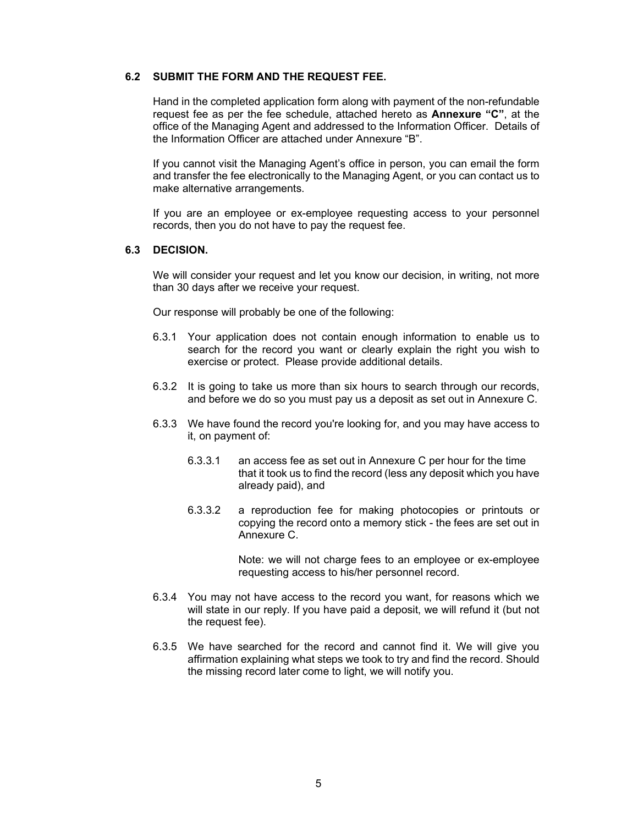#### **6.2 SUBMIT THE FORM AND THE REQUEST FEE.**

Hand in the completed application form along with payment of the non-refundable request fee as per the fee schedule, attached hereto as **Annexure "C"**, at the office of the Managing Agent and addressed to the Information Officer. Details of the Information Officer are attached under Annexure "B".

If you cannot visit the Managing Agent's office in person, you can email the form and transfer the fee electronically to the Managing Agent, or you can contact us to make alternative arrangements.

If you are an employee or ex-employee requesting access to your personnel records, then you do not have to pay the request fee.

#### **6.3 DECISION.**

We will consider your request and let you know our decision, in writing, not more than 30 days after we receive your request.

Our response will probably be one of the following:

- 6.3.1 Your application does not contain enough information to enable us to search for the record you want or clearly explain the right you wish to exercise or protect. Please provide additional details.
- 6.3.2 It is going to take us more than six hours to search through our records, and before we do so you must pay us a deposit as set out in Annexure C.
- 6.3.3 We have found the record you're looking for, and you may have access to it, on payment of:
	- 6.3.3.1 an access fee as set out in Annexure C per hour for the time that it took us to find the record (less any deposit which you have already paid), and
	- 6.3.3.2 a reproduction fee for making photocopies or printouts or copying the record onto a memory stick - the fees are set out in Annexure C.

Note: we will not charge fees to an employee or ex-employee requesting access to his/her personnel record.

- 6.3.4 You may not have access to the record you want, for reasons which we will state in our reply. If you have paid a deposit, we will refund it (but not the request fee).
- 6.3.5 We have searched for the record and cannot find it. We will give you affirmation explaining what steps we took to try and find the record. Should the missing record later come to light, we will notify you.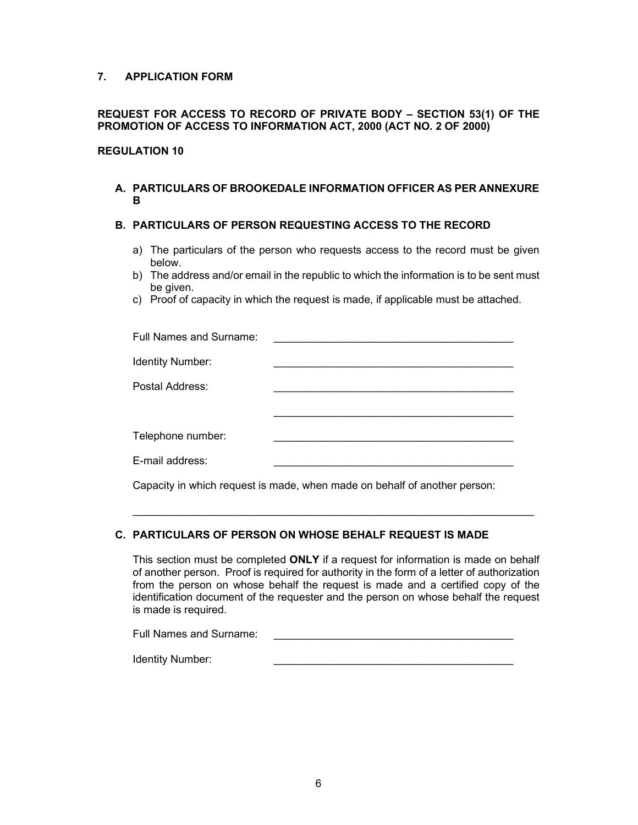## **7. APPLICATION FORM**

## **REQUEST FOR ACCESS TO RECORD OF PRIVATE BODY – SECTION 53(1) OF THE PROMOTION OF ACCESS TO INFORMATION ACT, 2000 (ACT NO. 2 OF 2000)**

## **REGULATION 10**

## **A. PARTICULARS OF BROOKEDALE INFORMATION OFFICER AS PER ANNEXURE B**

#### **B. PARTICULARS OF PERSON REQUESTING ACCESS TO THE RECORD**

- a) The particulars of the person who requests access to the record must be given below.
- b) The address and/or email in the republic to which the information is to be sent must be given.
- c) Proof of capacity in which the request is made, if applicable must be attached.

| Full Names and Surname: |                                                              |
|-------------------------|--------------------------------------------------------------|
| Identity Number:        |                                                              |
| Postal Address:         |                                                              |
|                         |                                                              |
| Telephone number:       |                                                              |
| E-mail address:         |                                                              |
|                         | <u>a bi shekara bi shekara ta shekara ma shekara ta 1989</u> |

Capacity in which request is made, when made on behalf of another person:

## **C. PARTICULARS OF PERSON ON WHOSE BEHALF REQUEST IS MADE**

This section must be completed **ONLY** if a request for information is made on behalf of another person. Proof is required for authority in the form of a letter of authorization from the person on whose behalf the request is made and a certified copy of the identification document of the requester and the person on whose behalf the request is made is required.

\_\_\_\_\_\_\_\_\_\_\_\_\_\_\_\_\_\_\_\_\_\_\_\_\_\_\_\_\_\_\_\_\_\_\_\_\_\_\_\_\_\_\_\_\_\_\_\_\_\_\_\_\_\_\_\_\_\_\_\_\_\_\_\_\_\_\_

| <b>Full Names and Surname:</b> |  |
|--------------------------------|--|
|                                |  |

Identity Number: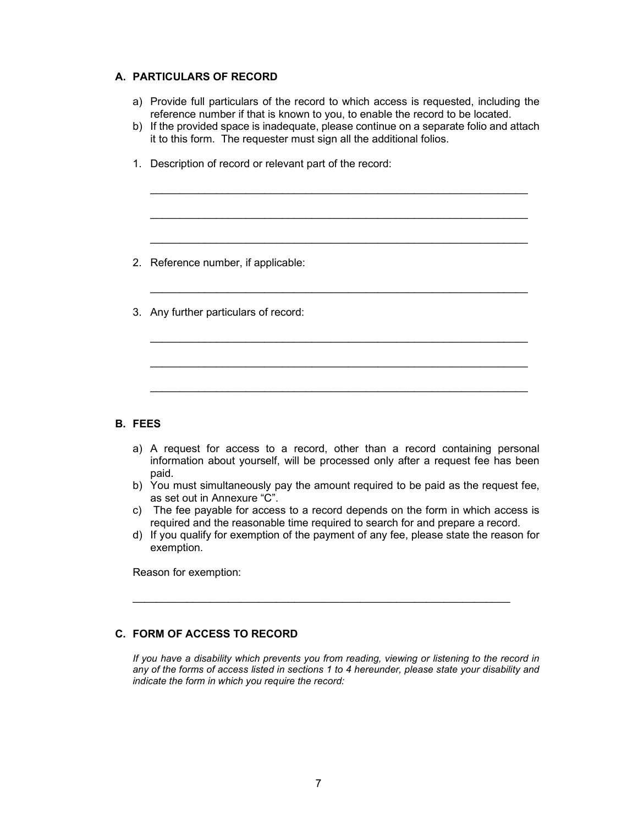### **A. PARTICULARS OF RECORD**

- a) Provide full particulars of the record to which access is requested, including the reference number if that is known to you, to enable the record to be located.
- b) If the provided space is inadequate, please continue on a separate folio and attach it to this form. The requester must sign all the additional folios.

\_\_\_\_\_\_\_\_\_\_\_\_\_\_\_\_\_\_\_\_\_\_\_\_\_\_\_\_\_\_\_\_\_\_\_\_\_\_\_\_\_\_\_\_\_\_\_\_\_\_\_\_\_\_\_\_\_\_\_\_\_\_\_

\_\_\_\_\_\_\_\_\_\_\_\_\_\_\_\_\_\_\_\_\_\_\_\_\_\_\_\_\_\_\_\_\_\_\_\_\_\_\_\_\_\_\_\_\_\_\_\_\_\_\_\_\_\_\_\_\_\_\_\_\_\_\_

\_\_\_\_\_\_\_\_\_\_\_\_\_\_\_\_\_\_\_\_\_\_\_\_\_\_\_\_\_\_\_\_\_\_\_\_\_\_\_\_\_\_\_\_\_\_\_\_\_\_\_\_\_\_\_\_\_\_\_\_\_\_\_

\_\_\_\_\_\_\_\_\_\_\_\_\_\_\_\_\_\_\_\_\_\_\_\_\_\_\_\_\_\_\_\_\_\_\_\_\_\_\_\_\_\_\_\_\_\_\_\_\_\_\_\_\_\_\_\_\_\_\_\_\_\_\_

\_\_\_\_\_\_\_\_\_\_\_\_\_\_\_\_\_\_\_\_\_\_\_\_\_\_\_\_\_\_\_\_\_\_\_\_\_\_\_\_\_\_\_\_\_\_\_\_\_\_\_\_\_\_\_\_\_\_\_\_\_\_\_

\_\_\_\_\_\_\_\_\_\_\_\_\_\_\_\_\_\_\_\_\_\_\_\_\_\_\_\_\_\_\_\_\_\_\_\_\_\_\_\_\_\_\_\_\_\_\_\_\_\_\_\_\_\_\_\_\_\_\_\_\_\_\_

\_\_\_\_\_\_\_\_\_\_\_\_\_\_\_\_\_\_\_\_\_\_\_\_\_\_\_\_\_\_\_\_\_\_\_\_\_\_\_\_\_\_\_\_\_\_\_\_\_\_\_\_\_\_\_\_\_\_\_\_\_\_\_

1. Description of record or relevant part of the record:

- 2. Reference number, if applicable:
- 3. Any further particulars of record:

#### **B. FEES**

- a) A request for access to a record, other than a record containing personal information about yourself, will be processed only after a request fee has been paid.
- b) You must simultaneously pay the amount required to be paid as the request fee, as set out in Annexure "C".
- c) The fee payable for access to a record depends on the form in which access is required and the reasonable time required to search for and prepare a record.
- d) If you qualify for exemption of the payment of any fee, please state the reason for exemption.

\_\_\_\_\_\_\_\_\_\_\_\_\_\_\_\_\_\_\_\_\_\_\_\_\_\_\_\_\_\_\_\_\_\_\_\_\_\_\_\_\_\_\_\_\_\_\_\_\_\_\_\_\_\_\_\_\_\_\_\_\_\_\_

Reason for exemption:

## **C. FORM OF ACCESS TO RECORD**

*If you have a disability which prevents you from reading, viewing or listening to the record in any of the forms of access listed in sections 1 to 4 hereunder, please state your disability and indicate the form in which you require the record:*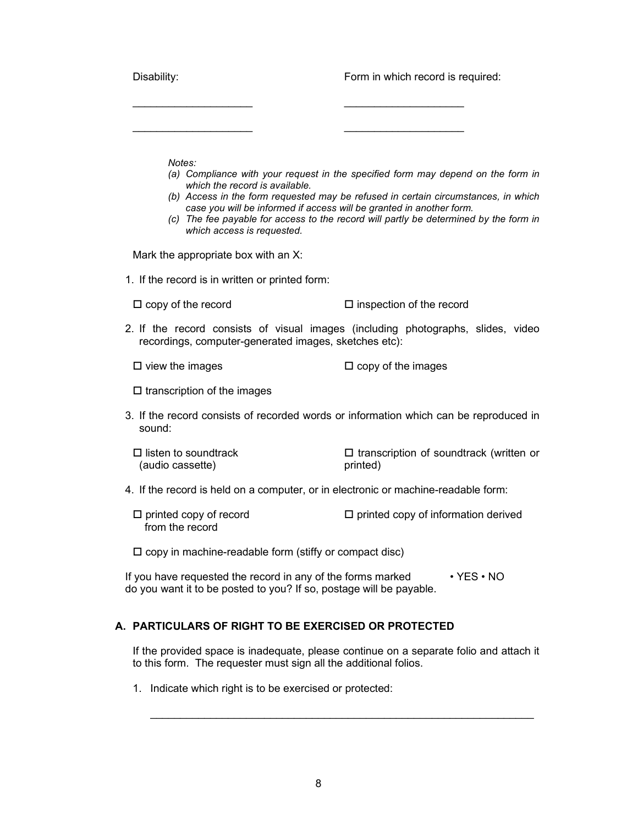| Disability:                                                                                                                                    | Form in which record is required:                                                                                                                                                                                                                               |  |  |
|------------------------------------------------------------------------------------------------------------------------------------------------|-----------------------------------------------------------------------------------------------------------------------------------------------------------------------------------------------------------------------------------------------------------------|--|--|
|                                                                                                                                                |                                                                                                                                                                                                                                                                 |  |  |
| Notes:<br>which the record is available.<br>case you will be informed if access will be granted in another form.<br>which access is requested. | (a) Compliance with your request in the specified form may depend on the form in<br>(b) Access in the form requested may be refused in certain circumstances, in which<br>(c) The fee payable for access to the record will partly be determined by the form in |  |  |
| Mark the appropriate box with an X:                                                                                                            |                                                                                                                                                                                                                                                                 |  |  |
| 1. If the record is in written or printed form:                                                                                                |                                                                                                                                                                                                                                                                 |  |  |
| $\Box$ copy of the record                                                                                                                      | $\square$ inspection of the record                                                                                                                                                                                                                              |  |  |
| 2. If the record consists of visual images (including photographs, slides, video<br>recordings, computer-generated images, sketches etc):      |                                                                                                                                                                                                                                                                 |  |  |
| $\Box$ view the images                                                                                                                         | $\Box$ copy of the images                                                                                                                                                                                                                                       |  |  |
| $\square$ transcription of the images                                                                                                          |                                                                                                                                                                                                                                                                 |  |  |
| 3. If the record consists of recorded words or information which can be reproduced in<br>sound:                                                |                                                                                                                                                                                                                                                                 |  |  |
| $\Box$ listen to soundtrack<br>(audio cassette)                                                                                                | $\Box$ transcription of soundtrack (written or<br>printed)                                                                                                                                                                                                      |  |  |
| 4. If the record is held on a computer, or in electronic or machine-readable form:                                                             |                                                                                                                                                                                                                                                                 |  |  |
| $\Box$ printed copy of record<br>from the record                                                                                               | $\square$ printed copy of information derived                                                                                                                                                                                                                   |  |  |
| $\square$ copy in machine-readable form (stiffy or compact disc)                                                                               |                                                                                                                                                                                                                                                                 |  |  |
| If you have requested the record in any of the forms marked<br>do you want it to be posted to you? If so, postage will be payable.             | $\cdot$ YES $\cdot$ NO                                                                                                                                                                                                                                          |  |  |
| A. PARTICULARS OF RIGHT TO BE EXERCISED OR PROTECTED                                                                                           |                                                                                                                                                                                                                                                                 |  |  |
| to this form. The requester must sign all the additional folios.                                                                               | If the provided space is inadequate, please continue on a separate folio and attach it                                                                                                                                                                          |  |  |

1. Indicate which right is to be exercised or protected:

\_\_\_\_\_\_\_\_\_\_\_\_\_\_\_\_\_\_\_\_\_\_\_\_\_\_\_\_\_\_\_\_\_\_\_\_\_\_\_\_\_\_\_\_\_\_\_\_\_\_\_\_\_\_\_\_\_\_\_\_\_\_\_\_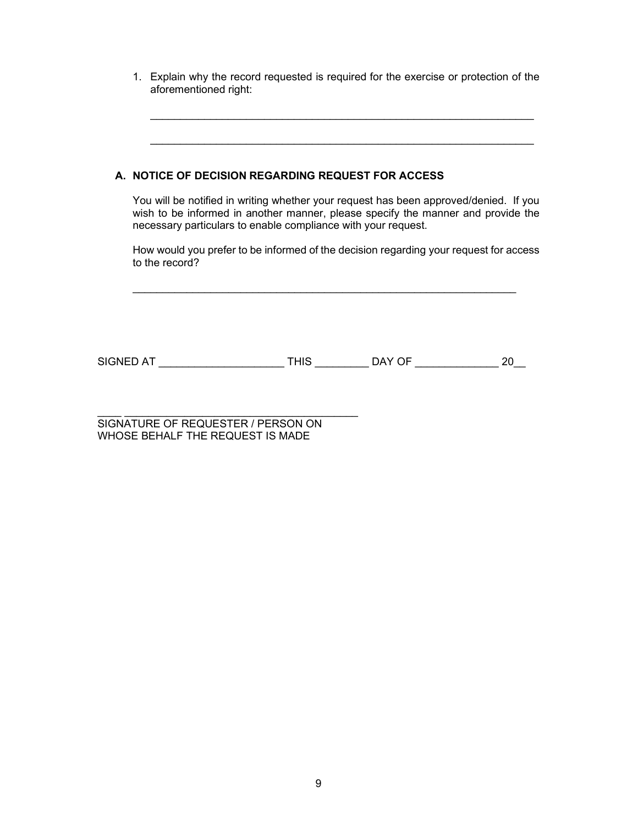1. Explain why the record requested is required for the exercise or protection of the aforementioned right:

\_\_\_\_\_\_\_\_\_\_\_\_\_\_\_\_\_\_\_\_\_\_\_\_\_\_\_\_\_\_\_\_\_\_\_\_\_\_\_\_\_\_\_\_\_\_\_\_\_\_\_\_\_\_\_\_\_\_\_\_\_\_\_\_

\_\_\_\_\_\_\_\_\_\_\_\_\_\_\_\_\_\_\_\_\_\_\_\_\_\_\_\_\_\_\_\_\_\_\_\_\_\_\_\_\_\_\_\_\_\_\_\_\_\_\_\_\_\_\_\_\_\_\_\_\_\_\_\_

|           | A. NOTICE OF DECISION REGARDING REQUEST FOR ACCESS<br>You will be notified in writing whether your request has been approved/denied. If you<br>wish to be informed in another manner, please specify the manner and provide the<br>necessary particulars to enable compliance with your request. |             |        |  |
|-----------|--------------------------------------------------------------------------------------------------------------------------------------------------------------------------------------------------------------------------------------------------------------------------------------------------|-------------|--------|--|
|           | How would you prefer to be informed of the decision regarding your request for access<br>to the record?                                                                                                                                                                                          |             |        |  |
| SIGNED AT |                                                                                                                                                                                                                                                                                                  | <b>THIS</b> | DAY OF |  |

\_\_\_\_ \_\_\_\_\_\_\_\_\_\_\_\_\_\_\_\_\_\_\_\_\_\_\_\_\_\_\_\_\_\_\_\_\_\_\_\_\_\_\_ SIGNATURE OF REQUESTER / PERSON ON WHOSE BEHALF THE REQUEST IS MADE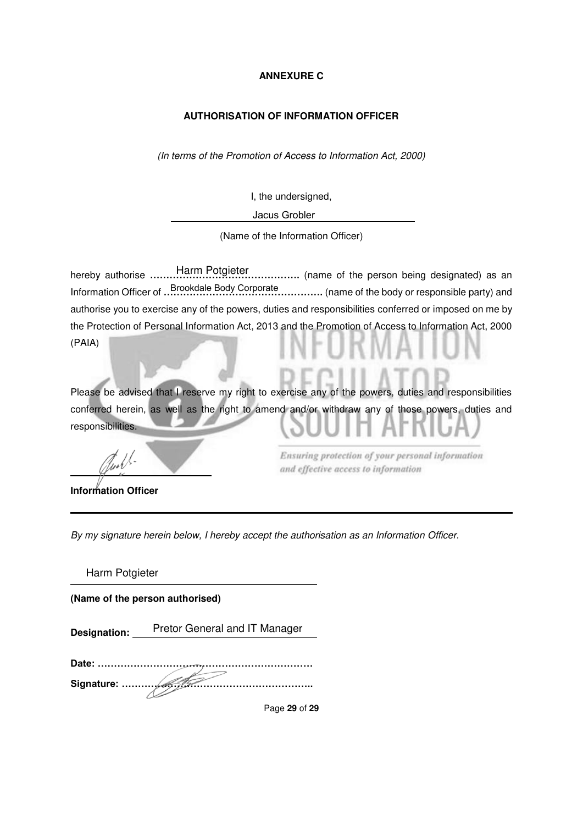## **ANNEXURE C**

## **AUTHORISATION OF INFORMATION OFFICER**

(In terms of the Promotion of Access to Information Act, 2000)

I, the undersigned,

Jacus Grobler

(Name of the Information Officer)

Harm Potgieter hereby authorise **……………………………………….** (name of the person being designated) as an Information Officer of **………………………………………….** (name of the body or responsible party) and Brookdale Body Corporateauthorise you to exercise any of the powers, duties and responsibilities conferred or imposed on me by the Protection of Personal Information Act, 2013 and the Promotion of Access to Information Act, 2000 (PAIA)

Please be advised that I reserve my right to exercise any of the powers, duties and responsibilities conferred herein, as well as the right to amend and/or withdraw any of those powers, duties and responsibilities.

**Information Officer** 

 $\overline{a}$ 

Ensuring protection of your personal information and effective access to information

By my signature herein below, I hereby accept the authorisation as an Information Officer.

Harm Potgieter

**(Name of the person authorised)** 

Pretor General and IT Manager **Designation:** 

**Date: ………………………………………………………… Signature: …………………………………………………..**

Page **29** of **29**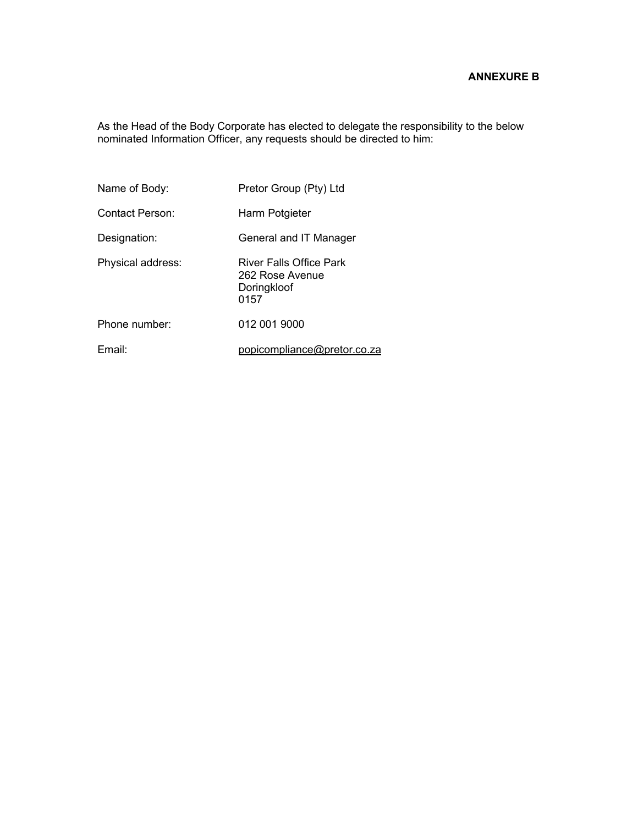## **ANNEXURE B**

As the Head of the Body Corporate has elected to delegate the responsibility to the below nominated Information Officer, any requests should be directed to him:

| Name of Body:     | Pretor Group (Pty) Ltd                                            |
|-------------------|-------------------------------------------------------------------|
| Contact Person:   | Harm Potgieter                                                    |
| Designation:      | General and IT Manager                                            |
| Physical address: | River Falls Office Park<br>262 Rose Avenue<br>Doringkloof<br>0157 |
| Phone number:     | 012 001 9000                                                      |
| Email:            | popicompliance@pretor.co.za                                       |